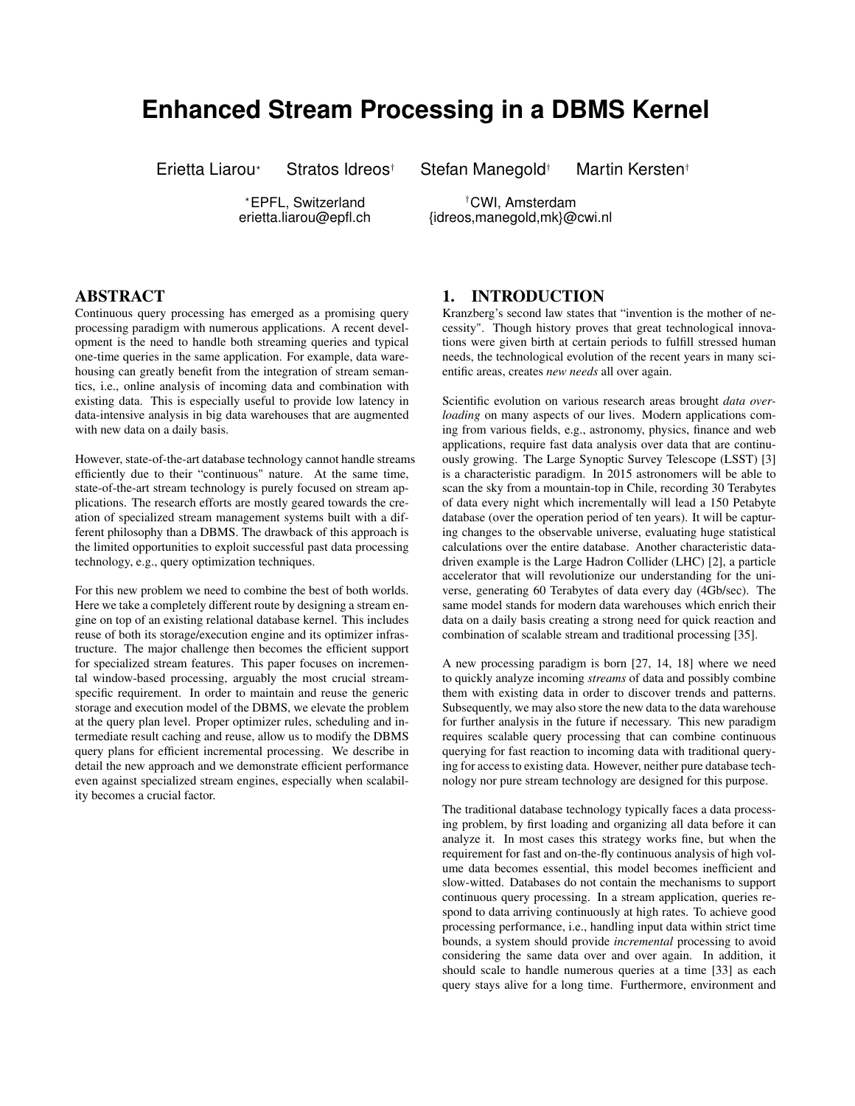# **Enhanced Stream Processing in a DBMS Kernel**

Erietta Liarou? Stratos Idreos† Stefan Manegold† Martin Kersten†

\*EPFL, Switzerland erietta.liarou@epfl.ch

†CWI, Amsterdam {idreos,manegold,mk}@cwi.nl

# ABSTRACT

Continuous query processing has emerged as a promising query processing paradigm with numerous applications. A recent development is the need to handle both streaming queries and typical one-time queries in the same application. For example, data warehousing can greatly benefit from the integration of stream semantics, i.e., online analysis of incoming data and combination with existing data. This is especially useful to provide low latency in data-intensive analysis in big data warehouses that are augmented with new data on a daily basis.

However, state-of-the-art database technology cannot handle streams efficiently due to their "continuous" nature. At the same time, state-of-the-art stream technology is purely focused on stream applications. The research efforts are mostly geared towards the creation of specialized stream management systems built with a different philosophy than a DBMS. The drawback of this approach is the limited opportunities to exploit successful past data processing technology, e.g., query optimization techniques.

For this new problem we need to combine the best of both worlds. Here we take a completely different route by designing a stream engine on top of an existing relational database kernel. This includes reuse of both its storage/execution engine and its optimizer infrastructure. The major challenge then becomes the efficient support for specialized stream features. This paper focuses on incremental window-based processing, arguably the most crucial streamspecific requirement. In order to maintain and reuse the generic storage and execution model of the DBMS, we elevate the problem at the query plan level. Proper optimizer rules, scheduling and intermediate result caching and reuse, allow us to modify the DBMS query plans for efficient incremental processing. We describe in detail the new approach and we demonstrate efficient performance even against specialized stream engines, especially when scalability becomes a crucial factor.

#### 1. INTRODUCTION

Kranzberg's second law states that "invention is the mother of necessity". Though history proves that great technological innovations were given birth at certain periods to fulfill stressed human needs, the technological evolution of the recent years in many scientific areas, creates *new needs* all over again.

Scientific evolution on various research areas brought *data overloading* on many aspects of our lives. Modern applications coming from various fields, e.g., astronomy, physics, finance and web applications, require fast data analysis over data that are continuously growing. The Large Synoptic Survey Telescope (LSST) [3] is a characteristic paradigm. In 2015 astronomers will be able to scan the sky from a mountain-top in Chile, recording 30 Terabytes of data every night which incrementally will lead a 150 Petabyte database (over the operation period of ten years). It will be capturing changes to the observable universe, evaluating huge statistical calculations over the entire database. Another characteristic datadriven example is the Large Hadron Collider (LHC) [2], a particle accelerator that will revolutionize our understanding for the universe, generating 60 Terabytes of data every day (4Gb/sec). The same model stands for modern data warehouses which enrich their data on a daily basis creating a strong need for quick reaction and combination of scalable stream and traditional processing [35].

A new processing paradigm is born [27, 14, 18] where we need to quickly analyze incoming *streams* of data and possibly combine them with existing data in order to discover trends and patterns. Subsequently, we may also store the new data to the data warehouse for further analysis in the future if necessary. This new paradigm requires scalable query processing that can combine continuous querying for fast reaction to incoming data with traditional querying for access to existing data. However, neither pure database technology nor pure stream technology are designed for this purpose.

The traditional database technology typically faces a data processing problem, by first loading and organizing all data before it can analyze it. In most cases this strategy works fine, but when the requirement for fast and on-the-fly continuous analysis of high volume data becomes essential, this model becomes inefficient and slow-witted. Databases do not contain the mechanisms to support continuous query processing. In a stream application, queries respond to data arriving continuously at high rates. To achieve good processing performance, i.e., handling input data within strict time bounds, a system should provide *incremental* processing to avoid considering the same data over and over again. In addition, it should scale to handle numerous queries at a time [33] as each query stays alive for a long time. Furthermore, environment and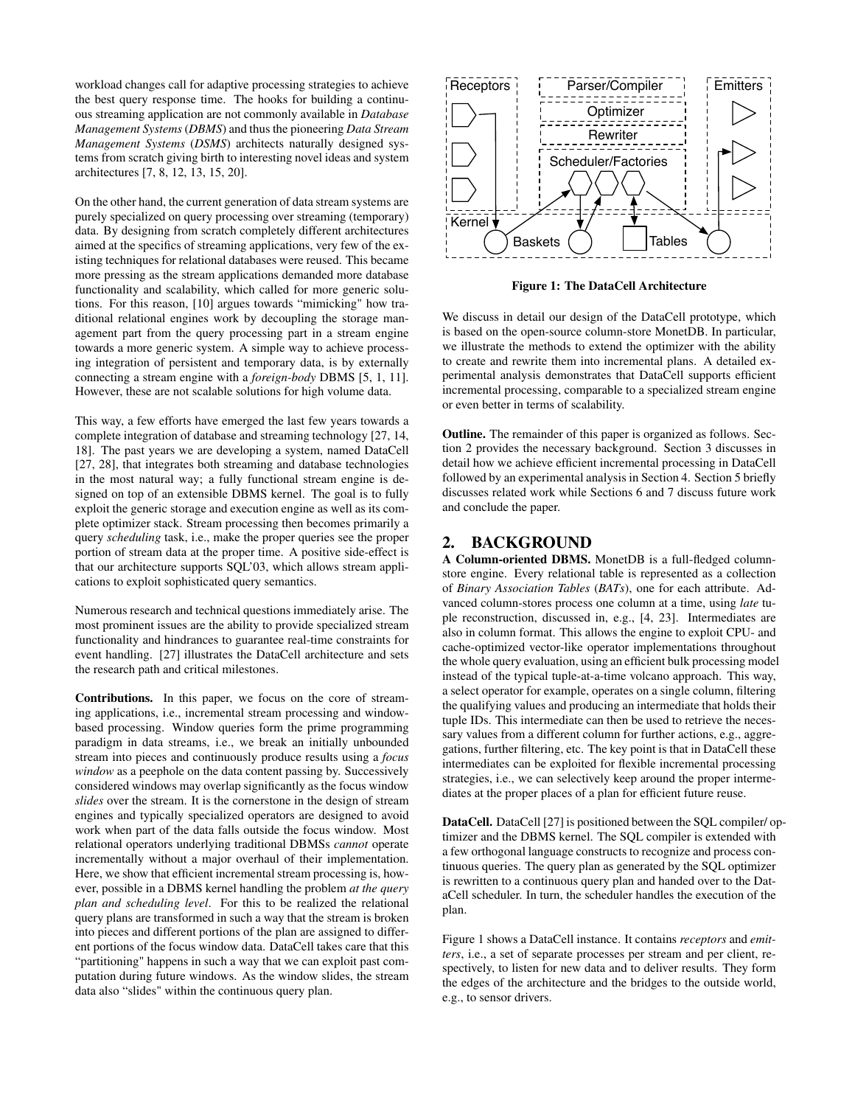workload changes call for adaptive processing strategies to achieve the best query response time. The hooks for building a continuous streaming application are not commonly available in *Database Management Systems*(*DBMS*) and thus the pioneering *Data Stream Management Systems* (*DSMS*) architects naturally designed systems from scratch giving birth to interesting novel ideas and system architectures [7, 8, 12, 13, 15, 20].

On the other hand, the current generation of data stream systems are purely specialized on query processing over streaming (temporary) data. By designing from scratch completely different architectures aimed at the specifics of streaming applications, very few of the existing techniques for relational databases were reused. This became more pressing as the stream applications demanded more database functionality and scalability, which called for more generic solutions. For this reason, [10] argues towards "mimicking" how traditional relational engines work by decoupling the storage management part from the query processing part in a stream engine towards a more generic system. A simple way to achieve processing integration of persistent and temporary data, is by externally connecting a stream engine with a *foreign-body* DBMS [5, 1, 11]. However, these are not scalable solutions for high volume data.

This way, a few efforts have emerged the last few years towards a complete integration of database and streaming technology [27, 14, 18]. The past years we are developing a system, named DataCell [27, 28], that integrates both streaming and database technologies in the most natural way; a fully functional stream engine is designed on top of an extensible DBMS kernel. The goal is to fully exploit the generic storage and execution engine as well as its complete optimizer stack. Stream processing then becomes primarily a query *scheduling* task, i.e., make the proper queries see the proper portion of stream data at the proper time. A positive side-effect is that our architecture supports SQL'03, which allows stream applications to exploit sophisticated query semantics.

Numerous research and technical questions immediately arise. The most prominent issues are the ability to provide specialized stream functionality and hindrances to guarantee real-time constraints for event handling. [27] illustrates the DataCell architecture and sets the research path and critical milestones.

Contributions. In this paper, we focus on the core of streaming applications, i.e., incremental stream processing and windowbased processing. Window queries form the prime programming paradigm in data streams, i.e., we break an initially unbounded stream into pieces and continuously produce results using a *focus window* as a peephole on the data content passing by. Successively considered windows may overlap significantly as the focus window *slides* over the stream. It is the cornerstone in the design of stream engines and typically specialized operators are designed to avoid work when part of the data falls outside the focus window. Most relational operators underlying traditional DBMSs *cannot* operate incrementally without a major overhaul of their implementation. Here, we show that efficient incremental stream processing is, however, possible in a DBMS kernel handling the problem *at the query plan and scheduling level*. For this to be realized the relational query plans are transformed in such a way that the stream is broken into pieces and different portions of the plan are assigned to different portions of the focus window data. DataCell takes care that this "partitioning" happens in such a way that we can exploit past computation during future windows. As the window slides, the stream data also "slides" within the continuous query plan.



Figure 1: The DataCell Architecture

We discuss in detail our design of the DataCell prototype, which is based on the open-source column-store MonetDB. In particular, we illustrate the methods to extend the optimizer with the ability to create and rewrite them into incremental plans. A detailed experimental analysis demonstrates that DataCell supports efficient incremental processing, comparable to a specialized stream engine or even better in terms of scalability.

Outline. The remainder of this paper is organized as follows. Section 2 provides the necessary background. Section 3 discusses in detail how we achieve efficient incremental processing in DataCell followed by an experimental analysis in Section 4. Section 5 briefly discusses related work while Sections 6 and 7 discuss future work and conclude the paper.

### 2. BACKGROUND

A Column-oriented DBMS. MonetDB is a full-fledged columnstore engine. Every relational table is represented as a collection of *Binary Association Tables* (*BATs*), one for each attribute. Advanced column-stores process one column at a time, using *late* tuple reconstruction, discussed in, e.g., [4, 23]. Intermediates are also in column format. This allows the engine to exploit CPU- and cache-optimized vector-like operator implementations throughout the whole query evaluation, using an efficient bulk processing model instead of the typical tuple-at-a-time volcano approach. This way, a select operator for example, operates on a single column, filtering the qualifying values and producing an intermediate that holds their tuple IDs. This intermediate can then be used to retrieve the necessary values from a different column for further actions, e.g., aggregations, further filtering, etc. The key point is that in DataCell these intermediates can be exploited for flexible incremental processing strategies, i.e., we can selectively keep around the proper intermediates at the proper places of a plan for efficient future reuse.

DataCell. DataCell [27] is positioned between the SQL compiler/ optimizer and the DBMS kernel. The SQL compiler is extended with a few orthogonal language constructs to recognize and process continuous queries. The query plan as generated by the SQL optimizer is rewritten to a continuous query plan and handed over to the DataCell scheduler. In turn, the scheduler handles the execution of the plan.

Figure 1 shows a DataCell instance. It contains *receptors* and *emitters*, i.e., a set of separate processes per stream and per client, respectively, to listen for new data and to deliver results. They form the edges of the architecture and the bridges to the outside world, e.g., to sensor drivers.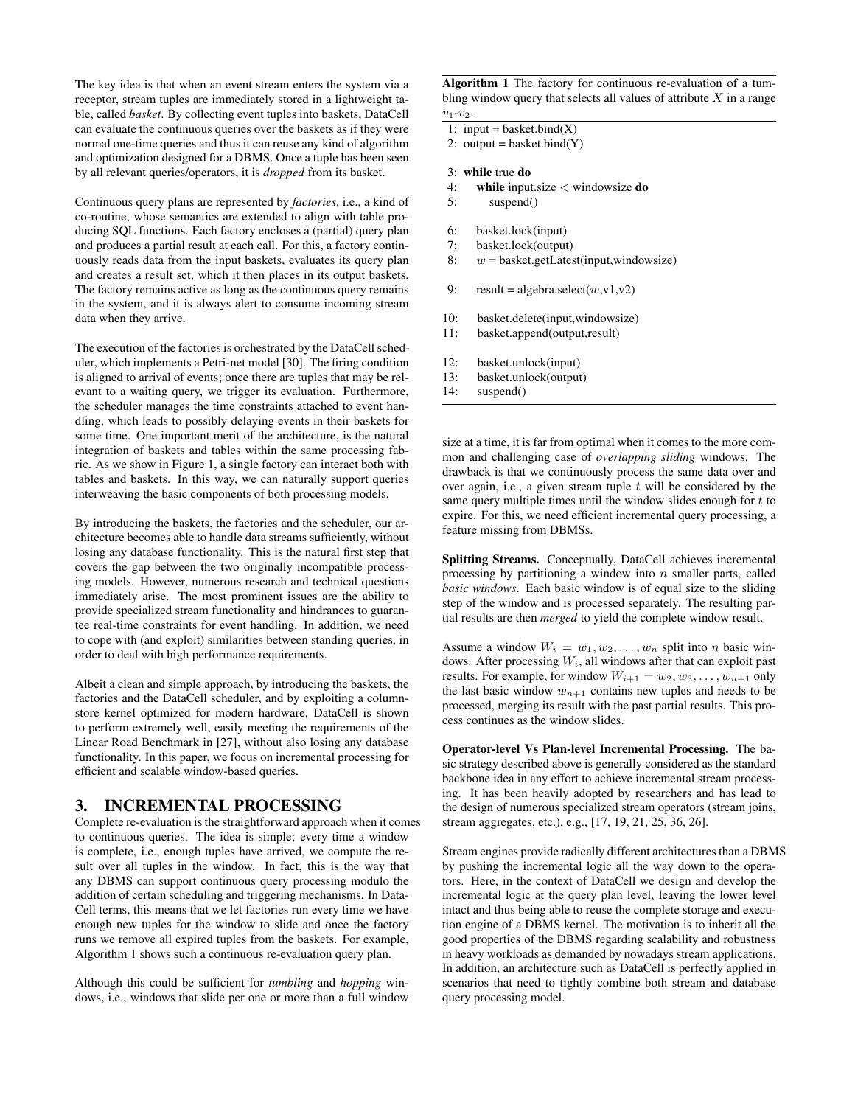The key idea is that when an event stream enters the system via a receptor, stream tuples are immediately stored in a lightweight table, called *basket*. By collecting event tuples into baskets, DataCell can evaluate the continuous queries over the baskets as if they were normal one-time queries and thus it can reuse any kind of algorithm and optimization designed for a DBMS. Once a tuple has been seen by all relevant queries/operators, it is *dropped* from its basket.

Continuous query plans are represented by *factories*, i.e., a kind of co-routine, whose semantics are extended to align with table producing SQL functions. Each factory encloses a (partial) query plan and produces a partial result at each call. For this, a factory continuously reads data from the input baskets, evaluates its query plan and creates a result set, which it then places in its output baskets. The factory remains active as long as the continuous query remains in the system, and it is always alert to consume incoming stream data when they arrive.

The execution of the factories is orchestrated by the DataCell scheduler, which implements a Petri-net model [30]. The firing condition is aligned to arrival of events; once there are tuples that may be relevant to a waiting query, we trigger its evaluation. Furthermore, the scheduler manages the time constraints attached to event handling, which leads to possibly delaying events in their baskets for some time. One important merit of the architecture, is the natural integration of baskets and tables within the same processing fabric. As we show in Figure 1, a single factory can interact both with tables and baskets. In this way, we can naturally support queries interweaving the basic components of both processing models.

By introducing the baskets, the factories and the scheduler, our architecture becomes able to handle data streams sufficiently, without losing any database functionality. This is the natural first step that covers the gap between the two originally incompatible processing models. However, numerous research and technical questions immediately arise. The most prominent issues are the ability to provide specialized stream functionality and hindrances to guarantee real-time constraints for event handling. In addition, we need to cope with (and exploit) similarities between standing queries, in order to deal with high performance requirements.

Albeit a clean and simple approach, by introducing the baskets, the factories and the DataCell scheduler, and by exploiting a columnstore kernel optimized for modern hardware, DataCell is shown to perform extremely well, easily meeting the requirements of the Linear Road Benchmark in [27], without also losing any database functionality. In this paper, we focus on incremental processing for efficient and scalable window-based queries.

# 3. INCREMENTAL PROCESSING

Complete re-evaluation is the straightforward approach when it comes to continuous queries. The idea is simple; every time a window is complete, i.e., enough tuples have arrived, we compute the result over all tuples in the window. In fact, this is the way that any DBMS can support continuous query processing modulo the addition of certain scheduling and triggering mechanisms. In Data-Cell terms, this means that we let factories run every time we have enough new tuples for the window to slide and once the factory runs we remove all expired tuples from the baskets. For example, Algorithm 1 shows such a continuous re-evaluation query plan.

Although this could be sufficient for *tumbling* and *hopping* windows, i.e., windows that slide per one or more than a full window Algorithm 1 The factory for continuous re-evaluation of a tumbling window query that selects all values of attribute  $X$  in a range  $v_1-v_2$ .

- 1: input = basket.bind $(X)$
- 2: output = basket.bind $(Y)$
- 3: while true do
- 4: while input.size  $\lt$  windowsize do
- 5: suspend()
- 6: basket.lock(input)<br>7: basket.lock(output
- 7: basket.lock(output)<br>8:  $w = \text{basket.getL}$
- $w =$  basket.getLatest(input,windowsize)
- 9: result = algebra.select( $w$ ,v1,v2)
- 10: basket.delete(input,windowsize)
- 11: basket.append(output,result)
- 12: basket.unlock(input)
- 13: basket.unlock(output)
- 14: suspend()

size at a time, it is far from optimal when it comes to the more common and challenging case of *overlapping sliding* windows. The drawback is that we continuously process the same data over and over again, i.e., a given stream tuple  $t$  will be considered by the same query multiple times until the window slides enough for t to expire. For this, we need efficient incremental query processing, a feature missing from DBMSs.

Splitting Streams. Conceptually, DataCell achieves incremental processing by partitioning a window into  $n$  smaller parts, called *basic windows*. Each basic window is of equal size to the sliding step of the window and is processed separately. The resulting partial results are then *merged* to yield the complete window result.

Assume a window  $W_i = w_1, w_2, \dots, w_n$  split into *n* basic windows. After processing  $W_i$ , all windows after that can exploit past results. For example, for window  $W_{i+1} = w_2, w_3, \ldots, w_{n+1}$  only the last basic window  $w_{n+1}$  contains new tuples and needs to be processed, merging its result with the past partial results. This process continues as the window slides.

Operator-level Vs Plan-level Incremental Processing. The basic strategy described above is generally considered as the standard backbone idea in any effort to achieve incremental stream processing. It has been heavily adopted by researchers and has lead to the design of numerous specialized stream operators (stream joins, stream aggregates, etc.), e.g., [17, 19, 21, 25, 36, 26].

Stream engines provide radically different architectures than a DBMS by pushing the incremental logic all the way down to the operators. Here, in the context of DataCell we design and develop the incremental logic at the query plan level, leaving the lower level intact and thus being able to reuse the complete storage and execution engine of a DBMS kernel. The motivation is to inherit all the good properties of the DBMS regarding scalability and robustness in heavy workloads as demanded by nowadays stream applications. In addition, an architecture such as DataCell is perfectly applied in scenarios that need to tightly combine both stream and database query processing model.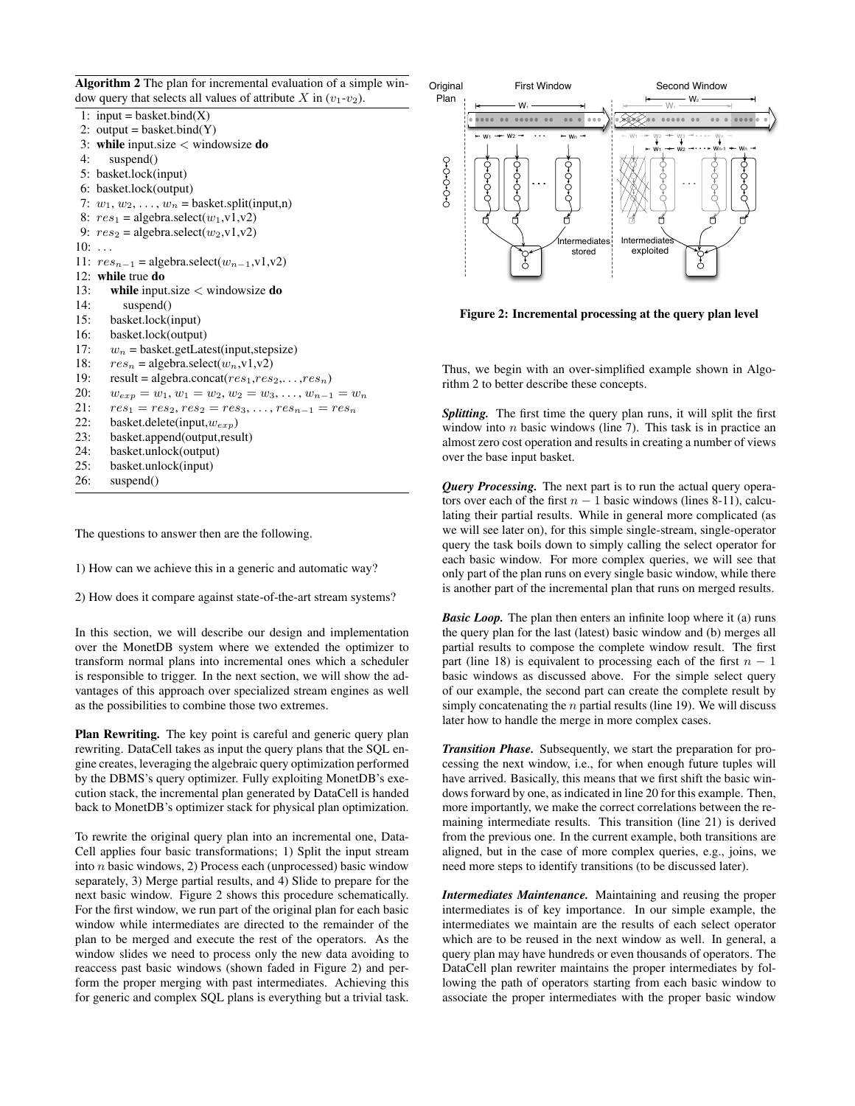Algorithm 2 The plan for incremental evaluation of a simple win-

|     | dow query that selects all values of attribute X in $(v_1-v_2)$ . |
|-----|-------------------------------------------------------------------|
|     | 1: input = basket.bind $(X)$                                      |
|     | 2: output = basket.bind $(Y)$                                     |
|     | 3: while input size $\lt$ windowsize do                           |
| 4:  | suspend()                                                         |
|     | 5: basket.lock(input)                                             |
|     | 6: basket.lock(output)                                            |
|     | 7: $w_1, w_2, \ldots, w_n$ = basket.split(input,n)                |
|     | 8: $res_1 = algebra.\text{select}(w_1, v_1, v_2)$                 |
|     | 9: $res_2$ = algebra.select(w <sub>2</sub> ,v1,v2)                |
| 10: |                                                                   |
|     | 11: $res_{n-1} = \text{algebra.select}(w_{n-1}, v1, v2)$          |
|     | 12: while true do                                                 |
| 13: | while input.size $\lt$ windowsize do                              |
| 14: | suspend()                                                         |
| 15: | basket.lock(input)                                                |
| 16: | basket.lock(output)                                               |
| 17: | $w_n$ = basket.getLatest(input,stepsize)                          |
| 18: | $res_n = algebra.\text{select}(w_n, v1, v2)$                      |
| 19: | result = algebra.concat( $res_1,res_2,,res_n$ )                   |
| 20: | $w_{exp} = w_1, w_1 = w_2, w_2 = w_3, \ldots, w_{n-1} = w_n$      |
| 21: | $res_1 = res_2, res_2 = res_3, \ldots, res_{n-1} = res_n$         |
| 22: | basket.delete(input, $w_{exp}$ )                                  |
| 23: | basket.append(output,result)                                      |
| 24: | basket.unlock(output)                                             |
| 25: | basket.unlock(input)                                              |

26: suspend()

The questions to answer then are the following.

1) How can we achieve this in a generic and automatic way?

2) How does it compare against state-of-the-art stream systems?

In this section, we will describe our design and implementation over the MonetDB system where we extended the optimizer to transform normal plans into incremental ones which a scheduler is responsible to trigger. In the next section, we will show the advantages of this approach over specialized stream engines as well as the possibilities to combine those two extremes.

Plan Rewriting. The key point is careful and generic query plan rewriting. DataCell takes as input the query plans that the SQL engine creates, leveraging the algebraic query optimization performed by the DBMS's query optimizer. Fully exploiting MonetDB's execution stack, the incremental plan generated by DataCell is handed back to MonetDB's optimizer stack for physical plan optimization.

To rewrite the original query plan into an incremental one, Data-Cell applies four basic transformations; 1) Split the input stream into n basic windows, 2) Process each (unprocessed) basic window separately, 3) Merge partial results, and 4) Slide to prepare for the next basic window. Figure 2 shows this procedure schematically. For the first window, we run part of the original plan for each basic window while intermediates are directed to the remainder of the plan to be merged and execute the rest of the operators. As the window slides we need to process only the new data avoiding to reaccess past basic windows (shown faded in Figure 2) and perform the proper merging with past intermediates. Achieving this for generic and complex SQL plans is everything but a trivial task.



Figure 2: Incremental processing at the query plan level

Thus, we begin with an over-simplified example shown in Algorithm 2 to better describe these concepts.

*Splitting.* The first time the query plan runs, it will split the first window into  $n$  basic windows (line 7). This task is in practice an almost zero cost operation and results in creating a number of views over the base input basket.

*Query Processing.* The next part is to run the actual query operators over each of the first  $n - 1$  basic windows (lines 8-11), calculating their partial results. While in general more complicated (as we will see later on), for this simple single-stream, single-operator query the task boils down to simply calling the select operator for each basic window. For more complex queries, we will see that only part of the plan runs on every single basic window, while there is another part of the incremental plan that runs on merged results.

*Basic Loop.* The plan then enters an infinite loop where it (a) runs the query plan for the last (latest) basic window and (b) merges all partial results to compose the complete window result. The first part (line 18) is equivalent to processing each of the first  $n - 1$ basic windows as discussed above. For the simple select query of our example, the second part can create the complete result by simply concatenating the  $n$  partial results (line 19). We will discuss later how to handle the merge in more complex cases.

*Transition Phase.* Subsequently, we start the preparation for processing the next window, i.e., for when enough future tuples will have arrived. Basically, this means that we first shift the basic windows forward by one, as indicated in line 20 for this example. Then, more importantly, we make the correct correlations between the remaining intermediate results. This transition (line 21) is derived from the previous one. In the current example, both transitions are aligned, but in the case of more complex queries, e.g., joins, we need more steps to identify transitions (to be discussed later).

*Intermediates Maintenance.* Maintaining and reusing the proper intermediates is of key importance. In our simple example, the intermediates we maintain are the results of each select operator which are to be reused in the next window as well. In general, a query plan may have hundreds or even thousands of operators. The DataCell plan rewriter maintains the proper intermediates by following the path of operators starting from each basic window to associate the proper intermediates with the proper basic window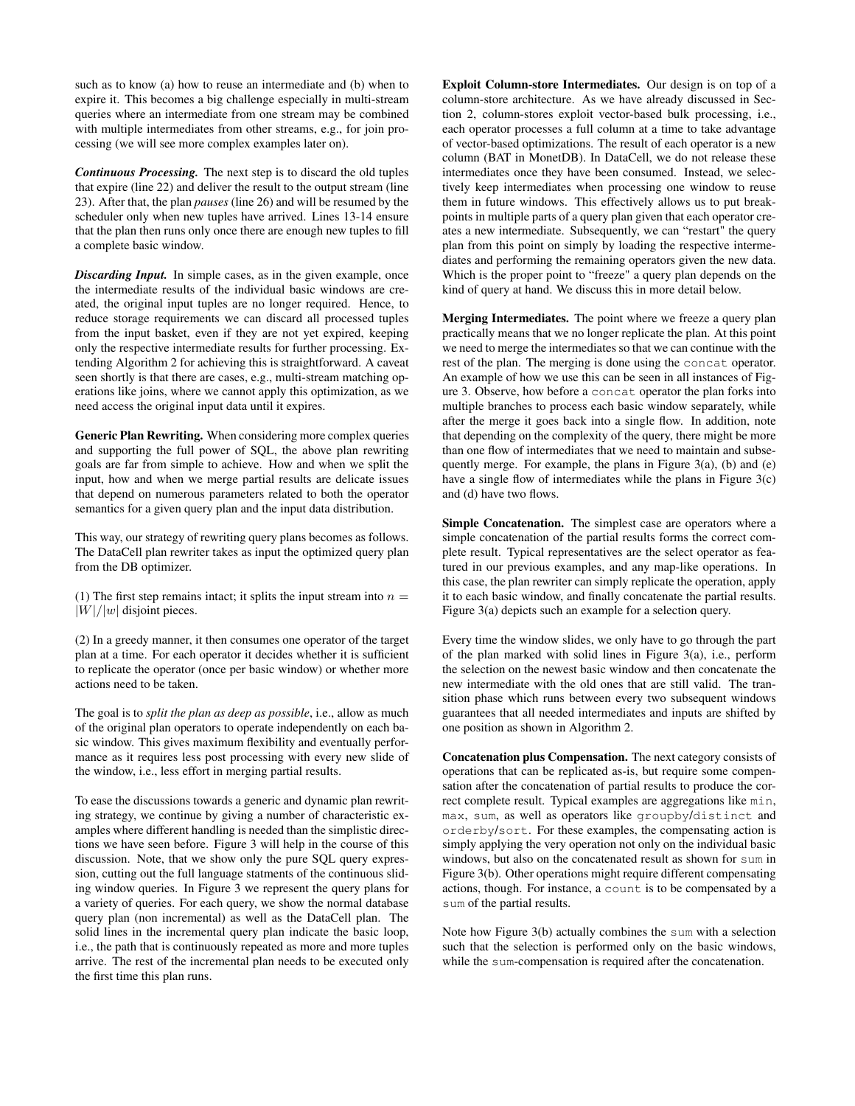such as to know (a) how to reuse an intermediate and (b) when to expire it. This becomes a big challenge especially in multi-stream queries where an intermediate from one stream may be combined with multiple intermediates from other streams, e.g., for join processing (we will see more complex examples later on).

*Continuous Processing.* The next step is to discard the old tuples that expire (line 22) and deliver the result to the output stream (line 23). After that, the plan *pauses* (line 26) and will be resumed by the scheduler only when new tuples have arrived. Lines 13-14 ensure that the plan then runs only once there are enough new tuples to fill a complete basic window.

*Discarding Input.* In simple cases, as in the given example, once the intermediate results of the individual basic windows are created, the original input tuples are no longer required. Hence, to reduce storage requirements we can discard all processed tuples from the input basket, even if they are not yet expired, keeping only the respective intermediate results for further processing. Extending Algorithm 2 for achieving this is straightforward. A caveat seen shortly is that there are cases, e.g., multi-stream matching operations like joins, where we cannot apply this optimization, as we need access the original input data until it expires.

Generic Plan Rewriting. When considering more complex queries and supporting the full power of SQL, the above plan rewriting goals are far from simple to achieve. How and when we split the input, how and when we merge partial results are delicate issues that depend on numerous parameters related to both the operator semantics for a given query plan and the input data distribution.

This way, our strategy of rewriting query plans becomes as follows. The DataCell plan rewriter takes as input the optimized query plan from the DB optimizer.

(1) The first step remains intact; it splits the input stream into  $n =$  $|W|/|w|$  disjoint pieces.

(2) In a greedy manner, it then consumes one operator of the target plan at a time. For each operator it decides whether it is sufficient to replicate the operator (once per basic window) or whether more actions need to be taken.

The goal is to *split the plan as deep as possible*, i.e., allow as much of the original plan operators to operate independently on each basic window. This gives maximum flexibility and eventually performance as it requires less post processing with every new slide of the window, i.e., less effort in merging partial results.

To ease the discussions towards a generic and dynamic plan rewriting strategy, we continue by giving a number of characteristic examples where different handling is needed than the simplistic directions we have seen before. Figure 3 will help in the course of this discussion. Note, that we show only the pure SQL query expression, cutting out the full language statments of the continuous sliding window queries. In Figure 3 we represent the query plans for a variety of queries. For each query, we show the normal database query plan (non incremental) as well as the DataCell plan. The solid lines in the incremental query plan indicate the basic loop, i.e., the path that is continuously repeated as more and more tuples arrive. The rest of the incremental plan needs to be executed only the first time this plan runs.

Exploit Column-store Intermediates. Our design is on top of a column-store architecture. As we have already discussed in Section 2, column-stores exploit vector-based bulk processing, i.e., each operator processes a full column at a time to take advantage of vector-based optimizations. The result of each operator is a new column (BAT in MonetDB). In DataCell, we do not release these intermediates once they have been consumed. Instead, we selectively keep intermediates when processing one window to reuse them in future windows. This effectively allows us to put breakpoints in multiple parts of a query plan given that each operator creates a new intermediate. Subsequently, we can "restart" the query plan from this point on simply by loading the respective intermediates and performing the remaining operators given the new data. Which is the proper point to "freeze" a query plan depends on the kind of query at hand. We discuss this in more detail below.

Merging Intermediates. The point where we freeze a query plan practically means that we no longer replicate the plan. At this point we need to merge the intermediates so that we can continue with the rest of the plan. The merging is done using the concat operator. An example of how we use this can be seen in all instances of Figure 3. Observe, how before a concat operator the plan forks into multiple branches to process each basic window separately, while after the merge it goes back into a single flow. In addition, note that depending on the complexity of the query, there might be more than one flow of intermediates that we need to maintain and subsequently merge. For example, the plans in Figure  $3(a)$ , (b) and (e) have a single flow of intermediates while the plans in Figure 3(c) and (d) have two flows.

Simple Concatenation. The simplest case are operators where a simple concatenation of the partial results forms the correct complete result. Typical representatives are the select operator as featured in our previous examples, and any map-like operations. In this case, the plan rewriter can simply replicate the operation, apply it to each basic window, and finally concatenate the partial results. Figure 3(a) depicts such an example for a selection query.

Every time the window slides, we only have to go through the part of the plan marked with solid lines in Figure 3(a), i.e., perform the selection on the newest basic window and then concatenate the new intermediate with the old ones that are still valid. The transition phase which runs between every two subsequent windows guarantees that all needed intermediates and inputs are shifted by one position as shown in Algorithm 2.

Concatenation plus Compensation. The next category consists of operations that can be replicated as-is, but require some compensation after the concatenation of partial results to produce the correct complete result. Typical examples are aggregations like min, max, sum, as well as operators like groupby/distinct and orderby/sort. For these examples, the compensating action is simply applying the very operation not only on the individual basic windows, but also on the concatenated result as shown for sum in Figure 3(b). Other operations might require different compensating actions, though. For instance, a count is to be compensated by a sum of the partial results.

Note how Figure 3(b) actually combines the sum with a selection such that the selection is performed only on the basic windows, while the sum-compensation is required after the concatenation.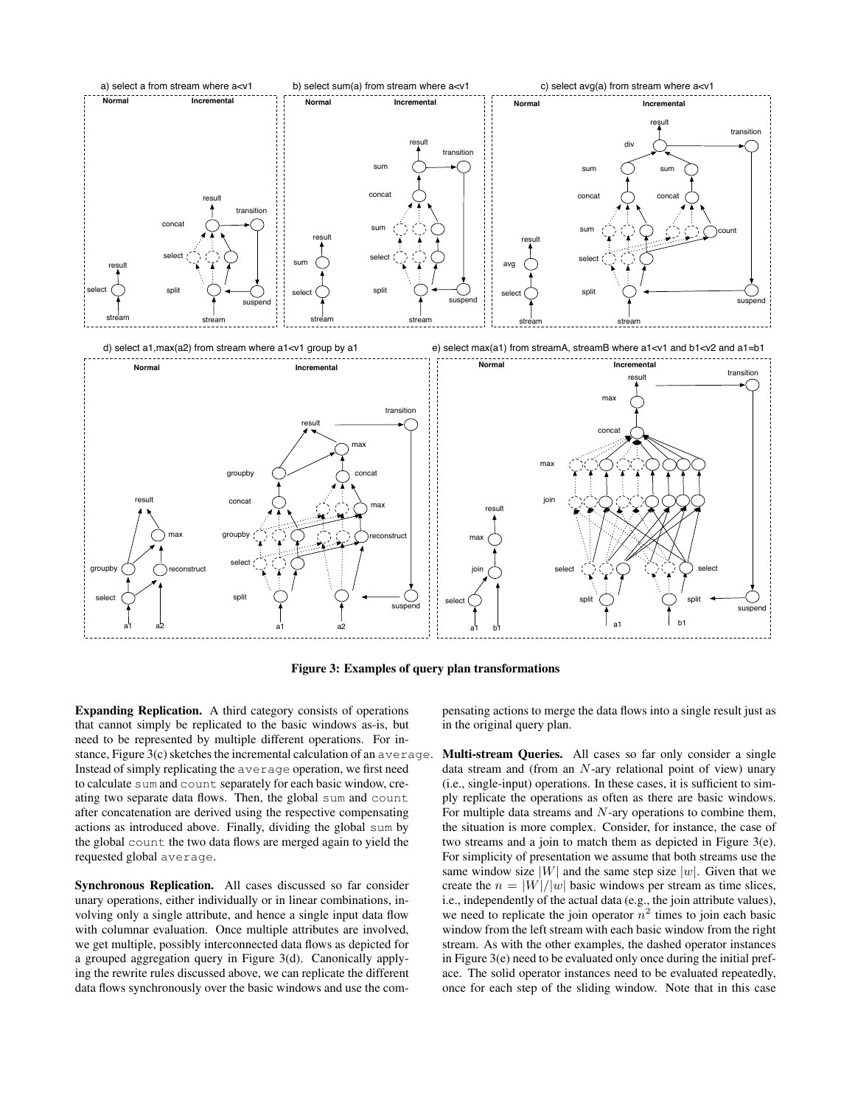

Figure 3: Examples of query plan transformations

select

a1 b1

suspend

Expanding Replication. A third category consists of operations that cannot simply be replicated to the basic windows as-is, but need to be represented by multiple different operations. For instance, Figure 3(c) sketches the incremental calculation of an average. Instead of simply replicating the average operation, we first need to calculate sum and count separately for each basic window, creating two separate data flows. Then, the global sum and count after concatenation are derived using the respective compensating actions as introduced above. Finally, dividing the global sum by the global count the two data flows are merged again to yield the requested global average.

spli

a1

a2

select

a1

a2

Synchronous Replication. All cases discussed so far consider unary operations, either individually or in linear combinations, involving only a single attribute, and hence a single input data flow with columnar evaluation. Once multiple attributes are involved, we get multiple, possibly interconnected data flows as depicted for a grouped aggregation query in Figure 3(d). Canonically applying the rewrite rules discussed above, we can replicate the different data flows synchronously over the basic windows and use the com-

pensating actions to merge the data flows into a single result just as in the original query plan.

a1

b1 split

susp

split

Multi-stream Queries. All cases so far only consider a single data stream and (from an  $N$ -ary relational point of view) unary (i.e., single-input) operations. In these cases, it is sufficient to simply replicate the operations as often as there are basic windows. For multiple data streams and  $N$ -ary operations to combine them, the situation is more complex. Consider, for instance, the case of two streams and a join to match them as depicted in Figure 3(e). For simplicity of presentation we assume that both streams use the same window size  $|W|$  and the same step size  $|w|$ . Given that we create the  $n = |W|/|w|$  basic windows per stream as time slices, i.e., independently of the actual data (e.g., the join attribute values), we need to replicate the join operator  $n^2$  times to join each basic window from the left stream with each basic window from the right stream. As with the other examples, the dashed operator instances in Figure 3(e) need to be evaluated only once during the initial preface. The solid operator instances need to be evaluated repeatedly, once for each step of the sliding window. Note that in this case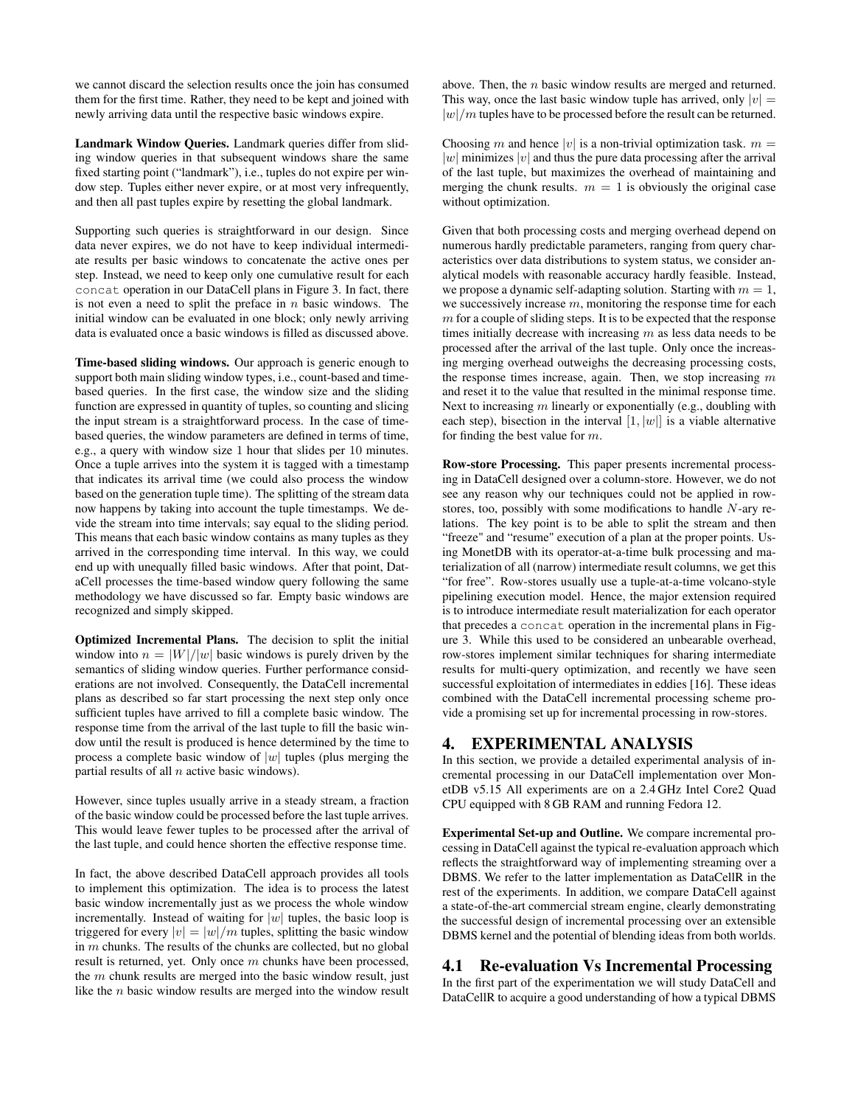we cannot discard the selection results once the join has consumed them for the first time. Rather, they need to be kept and joined with newly arriving data until the respective basic windows expire.

Landmark Window Queries. Landmark queries differ from sliding window queries in that subsequent windows share the same fixed starting point ("landmark"), i.e., tuples do not expire per window step. Tuples either never expire, or at most very infrequently, and then all past tuples expire by resetting the global landmark.

Supporting such queries is straightforward in our design. Since data never expires, we do not have to keep individual intermediate results per basic windows to concatenate the active ones per step. Instead, we need to keep only one cumulative result for each concat operation in our DataCell plans in Figure 3. In fact, there is not even a need to split the preface in  $n$  basic windows. The initial window can be evaluated in one block; only newly arriving data is evaluated once a basic windows is filled as discussed above.

Time-based sliding windows. Our approach is generic enough to support both main sliding window types, i.e., count-based and timebased queries. In the first case, the window size and the sliding function are expressed in quantity of tuples, so counting and slicing the input stream is a straightforward process. In the case of timebased queries, the window parameters are defined in terms of time, e.g., a query with window size 1 hour that slides per 10 minutes. Once a tuple arrives into the system it is tagged with a timestamp that indicates its arrival time (we could also process the window based on the generation tuple time). The splitting of the stream data now happens by taking into account the tuple timestamps. We devide the stream into time intervals; say equal to the sliding period. This means that each basic window contains as many tuples as they arrived in the corresponding time interval. In this way, we could end up with unequally filled basic windows. After that point, DataCell processes the time-based window query following the same methodology we have discussed so far. Empty basic windows are recognized and simply skipped.

Optimized Incremental Plans. The decision to split the initial window into  $n = |W|/|w|$  basic windows is purely driven by the semantics of sliding window queries. Further performance considerations are not involved. Consequently, the DataCell incremental plans as described so far start processing the next step only once sufficient tuples have arrived to fill a complete basic window. The response time from the arrival of the last tuple to fill the basic window until the result is produced is hence determined by the time to process a complete basic window of  $|w|$  tuples (plus merging the partial results of all  $n$  active basic windows).

However, since tuples usually arrive in a steady stream, a fraction of the basic window could be processed before the last tuple arrives. This would leave fewer tuples to be processed after the arrival of the last tuple, and could hence shorten the effective response time.

In fact, the above described DataCell approach provides all tools to implement this optimization. The idea is to process the latest basic window incrementally just as we process the whole window incrementally. Instead of waiting for  $|w|$  tuples, the basic loop is triggered for every  $|v| = |w|/m$  tuples, splitting the basic window in m chunks. The results of the chunks are collected, but no global result is returned, yet. Only once m chunks have been processed, the  $m$  chunk results are merged into the basic window result, just like the  $n$  basic window results are merged into the window result above. Then, the  $n$  basic window results are merged and returned. This way, once the last basic window tuple has arrived, only  $|v| =$  $|w|/m$  tuples have to be processed before the result can be returned.

Choosing m and hence |v| is a non-trivial optimization task.  $m =$ |w| minimizes |v| and thus the pure data processing after the arrival of the last tuple, but maximizes the overhead of maintaining and merging the chunk results.  $m = 1$  is obviously the original case without optimization.

Given that both processing costs and merging overhead depend on numerous hardly predictable parameters, ranging from query characteristics over data distributions to system status, we consider analytical models with reasonable accuracy hardly feasible. Instead, we propose a dynamic self-adapting solution. Starting with  $m = 1$ , we successively increase  $m$ , monitoring the response time for each  $m$  for a couple of sliding steps. It is to be expected that the response times initially decrease with increasing  $m$  as less data needs to be processed after the arrival of the last tuple. Only once the increasing merging overhead outweighs the decreasing processing costs, the response times increase, again. Then, we stop increasing  $m$ and reset it to the value that resulted in the minimal response time. Next to increasing  $m$  linearly or exponentially (e.g., doubling with each step), bisection in the interval  $[1, |w|]$  is a viable alternative for finding the best value for m.

Row-store Processing. This paper presents incremental processing in DataCell designed over a column-store. However, we do not see any reason why our techniques could not be applied in rowstores, too, possibly with some modifications to handle N-ary relations. The key point is to be able to split the stream and then "freeze" and "resume" execution of a plan at the proper points. Using MonetDB with its operator-at-a-time bulk processing and materialization of all (narrow) intermediate result columns, we get this "for free". Row-stores usually use a tuple-at-a-time volcano-style pipelining execution model. Hence, the major extension required is to introduce intermediate result materialization for each operator that precedes a concat operation in the incremental plans in Figure 3. While this used to be considered an unbearable overhead, row-stores implement similar techniques for sharing intermediate results for multi-query optimization, and recently we have seen successful exploitation of intermediates in eddies [16]. These ideas combined with the DataCell incremental processing scheme provide a promising set up for incremental processing in row-stores.

#### 4. EXPERIMENTAL ANALYSIS

In this section, we provide a detailed experimental analysis of incremental processing in our DataCell implementation over MonetDB v5.15 All experiments are on a 2.4 GHz Intel Core2 Quad CPU equipped with 8 GB RAM and running Fedora 12.

Experimental Set-up and Outline. We compare incremental processing in DataCell against the typical re-evaluation approach which reflects the straightforward way of implementing streaming over a DBMS. We refer to the latter implementation as DataCellR in the rest of the experiments. In addition, we compare DataCell against a state-of-the-art commercial stream engine, clearly demonstrating the successful design of incremental processing over an extensible DBMS kernel and the potential of blending ideas from both worlds.

### 4.1 Re-evaluation Vs Incremental Processing

In the first part of the experimentation we will study DataCell and DataCellR to acquire a good understanding of how a typical DBMS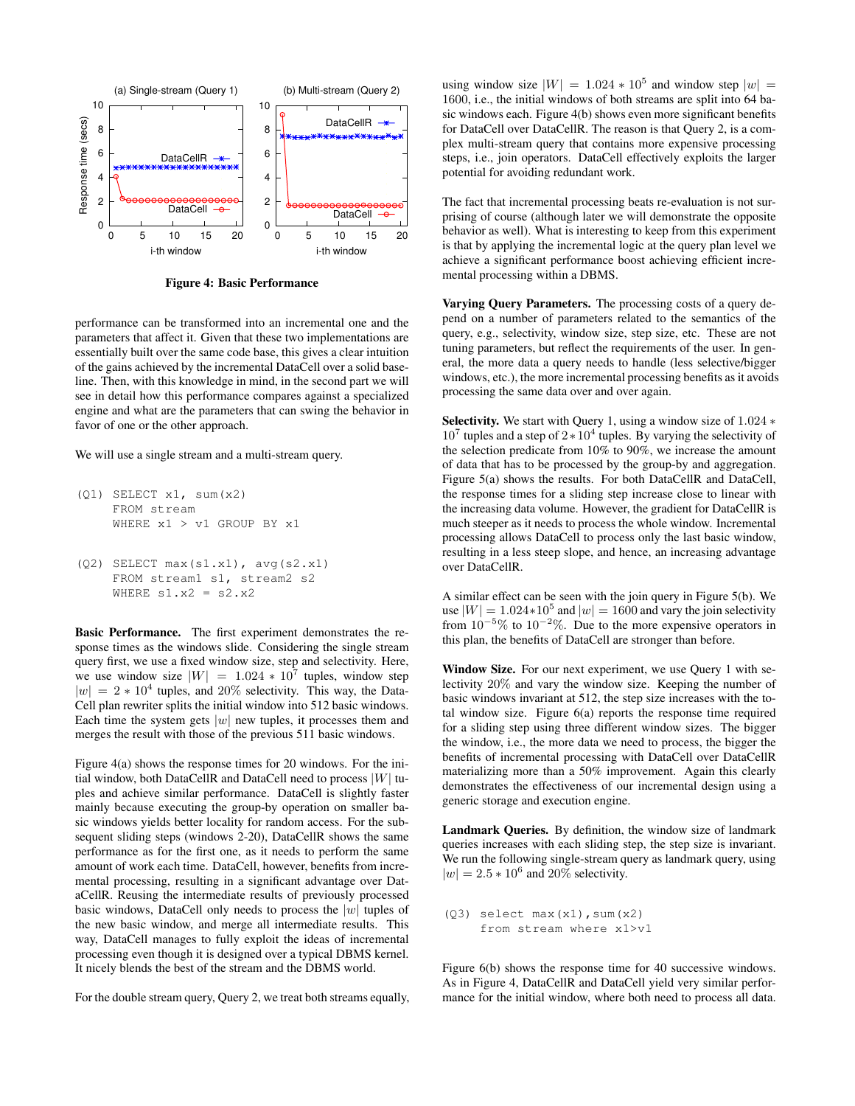

Figure 4: Basic Performance

performance can be transformed into an incremental one and the parameters that affect it. Given that these two implementations are essentially built over the same code base, this gives a clear intuition of the gains achieved by the incremental DataCell over a solid baseline. Then, with this knowledge in mind, in the second part we will see in detail how this performance compares against a specialized engine and what are the parameters that can swing the behavior in favor of one or the other approach.

We will use a single stream and a multi-stream query.

```
(Q1) SELECT x1, sum(x2)
FROM stream
WHERE x1 > v1 GROUP BY x1
```

```
(Q2) SELECT max(s1.x1), avg(s2.x1)
FROM stream1 s1, stream2 s2
WHERE s1.x2 = s2.x2
```
Basic Performance. The first experiment demonstrates the response times as the windows slide. Considering the single stream query first, we use a fixed window size, step and selectivity. Here, we use window size  $|W| = 1.024 * 10^7$  tuples, window step  $|w| = 2 * 10<sup>4</sup>$  tuples, and 20% selectivity. This way, the Data-Cell plan rewriter splits the initial window into 512 basic windows. Each time the system gets  $|w|$  new tuples, it processes them and merges the result with those of the previous 511 basic windows.

Figure 4(a) shows the response times for 20 windows. For the initial window, both DataCellR and DataCell need to process  $|W|$  tuples and achieve similar performance. DataCell is slightly faster mainly because executing the group-by operation on smaller basic windows yields better locality for random access. For the subsequent sliding steps (windows 2-20), DataCellR shows the same performance as for the first one, as it needs to perform the same amount of work each time. DataCell, however, benefits from incremental processing, resulting in a significant advantage over DataCellR. Reusing the intermediate results of previously processed basic windows, DataCell only needs to process the  $|w|$  tuples of the new basic window, and merge all intermediate results. This way, DataCell manages to fully exploit the ideas of incremental processing even though it is designed over a typical DBMS kernel. It nicely blends the best of the stream and the DBMS world.

For the double stream query, Query 2, we treat both streams equally,

using window size  $|W| = 1.024 * 10^5$  and window step  $|w| =$ 1600, i.e., the initial windows of both streams are split into 64 basic windows each. Figure 4(b) shows even more significant benefits for DataCell over DataCellR. The reason is that Query 2, is a complex multi-stream query that contains more expensive processing steps, i.e., join operators. DataCell effectively exploits the larger potential for avoiding redundant work.

The fact that incremental processing beats re-evaluation is not surprising of course (although later we will demonstrate the opposite behavior as well). What is interesting to keep from this experiment is that by applying the incremental logic at the query plan level we achieve a significant performance boost achieving efficient incremental processing within a DBMS.

Varying Query Parameters. The processing costs of a query depend on a number of parameters related to the semantics of the query, e.g., selectivity, window size, step size, etc. These are not tuning parameters, but reflect the requirements of the user. In general, the more data a query needs to handle (less selective/bigger windows, etc.), the more incremental processing benefits as it avoids processing the same data over and over again.

Selectivity. We start with Query 1, using a window size of 1.024 ∗  $10^7$  tuples and a step of  $2*10^4$  tuples. By varying the selectivity of the selection predicate from 10% to 90%, we increase the amount of data that has to be processed by the group-by and aggregation. Figure 5(a) shows the results. For both DataCellR and DataCell, the response times for a sliding step increase close to linear with the increasing data volume. However, the gradient for DataCellR is much steeper as it needs to process the whole window. Incremental processing allows DataCell to process only the last basic window, resulting in a less steep slope, and hence, an increasing advantage over DataCellR.

A similar effect can be seen with the join query in Figure 5(b). We use  $|W| = 1.024 * 10^5$  and  $|w| = 1600$  and vary the join selectivity from  $10^{-5}\%$  to  $10^{-2}\%$ . Due to the more expensive operators in this plan, the benefits of DataCell are stronger than before.

Window Size. For our next experiment, we use Query 1 with selectivity 20% and vary the window size. Keeping the number of basic windows invariant at 512, the step size increases with the total window size. Figure 6(a) reports the response time required for a sliding step using three different window sizes. The bigger the window, i.e., the more data we need to process, the bigger the benefits of incremental processing with DataCell over DataCellR materializing more than a 50% improvement. Again this clearly demonstrates the effectiveness of our incremental design using a generic storage and execution engine.

Landmark Queries. By definition, the window size of landmark queries increases with each sliding step, the step size is invariant. We run the following single-stream query as landmark query, using  $|w| = 2.5 * 10^6$  and 20% selectivity.

```
(Q3) select max(x1), sum(x2)from stream where x1>v1
```
Figure 6(b) shows the response time for 40 successive windows. As in Figure 4, DataCellR and DataCell yield very similar performance for the initial window, where both need to process all data.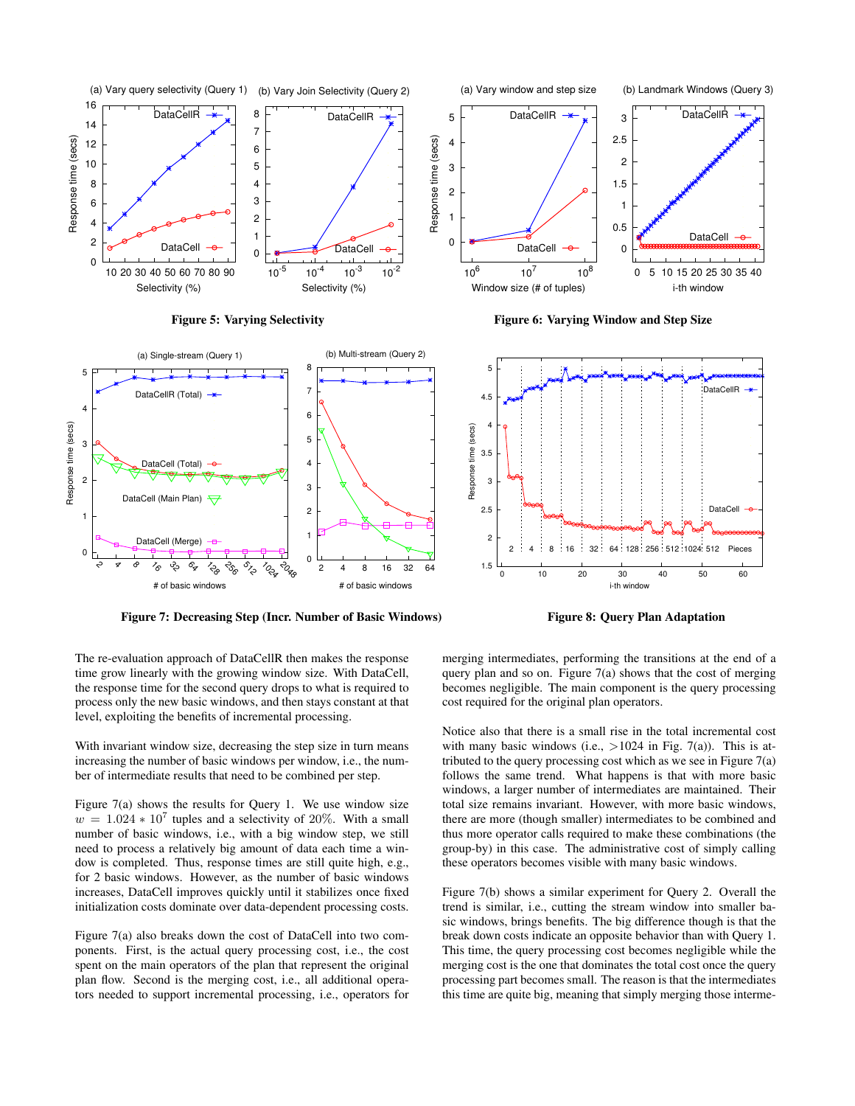



Figure 7: Decreasing Step (Incr. Number of Basic Windows)

Figure 8: Query Plan Adaptation

The re-evaluation approach of DataCellR then makes the response time grow linearly with the growing window size. With DataCell, the response time for the second query drops to what is required to process only the new basic windows, and then stays constant at that level, exploiting the benefits of incremental processing.

With invariant window size, decreasing the step size in turn means increasing the number of basic windows per window, i.e., the number of intermediate results that need to be combined per step.

Figure 7(a) shows the results for Query 1. We use window size  $w = 1.024 * 10^7$  tuples and a selectivity of 20%. With a small number of basic windows, i.e., with a big window step, we still need to process a relatively big amount of data each time a window is completed. Thus, response times are still quite high, e.g., for 2 basic windows. However, as the number of basic windows increases, DataCell improves quickly until it stabilizes once fixed initialization costs dominate over data-dependent processing costs.

Figure 7(a) also breaks down the cost of DataCell into two components. First, is the actual query processing cost, i.e., the cost spent on the main operators of the plan that represent the original plan flow. Second is the merging cost, i.e., all additional operators needed to support incremental processing, i.e., operators for merging intermediates, performing the transitions at the end of a query plan and so on. Figure 7(a) shows that the cost of merging becomes negligible. The main component is the query processing cost required for the original plan operators.

Notice also that there is a small rise in the total incremental cost with many basic windows (i.e.,  $>1024$  in Fig. 7(a)). This is attributed to the query processing cost which as we see in Figure 7(a) follows the same trend. What happens is that with more basic windows, a larger number of intermediates are maintained. Their total size remains invariant. However, with more basic windows, there are more (though smaller) intermediates to be combined and thus more operator calls required to make these combinations (the group-by) in this case. The administrative cost of simply calling these operators becomes visible with many basic windows.

Figure 7(b) shows a similar experiment for Query 2. Overall the trend is similar, i.e., cutting the stream window into smaller basic windows, brings benefits. The big difference though is that the break down costs indicate an opposite behavior than with Query 1. This time, the query processing cost becomes negligible while the merging cost is the one that dominates the total cost once the query processing part becomes small. The reason is that the intermediates this time are quite big, meaning that simply merging those interme-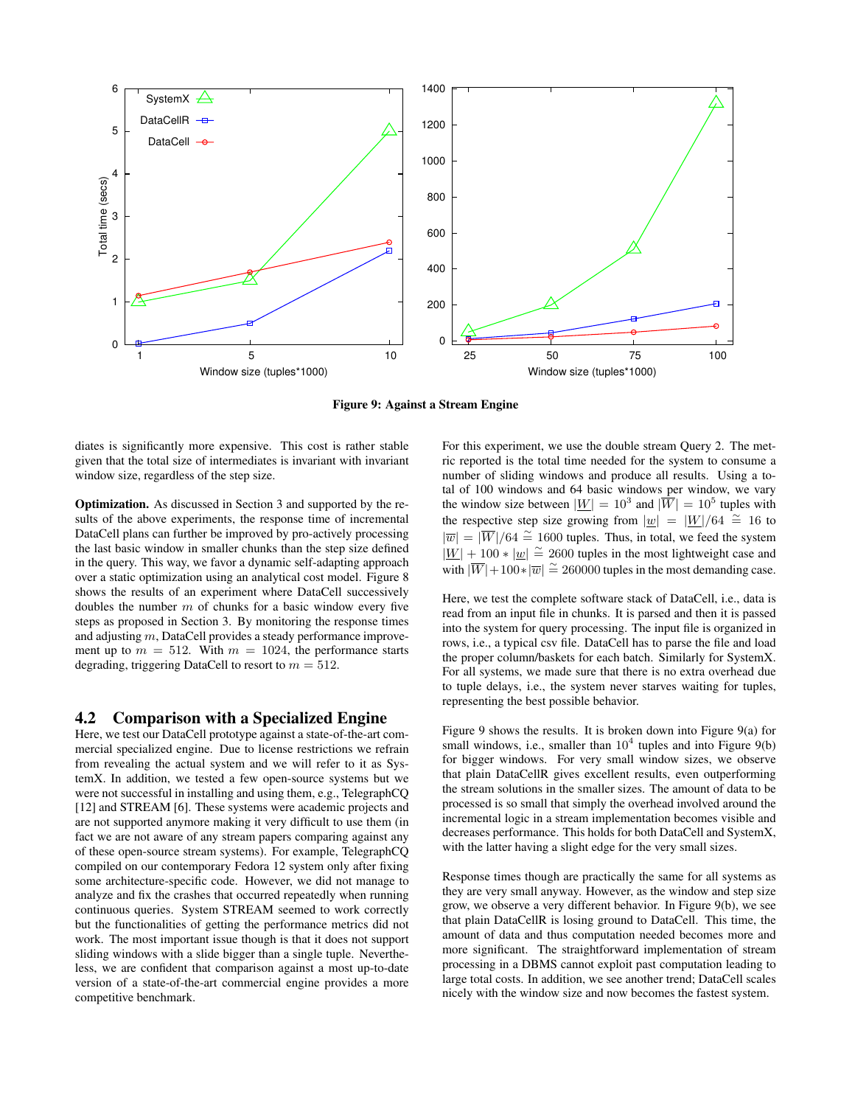

Figure 9: Against a Stream Engine

diates is significantly more expensive. This cost is rather stable given that the total size of intermediates is invariant with invariant window size, regardless of the step size.

Optimization. As discussed in Section 3 and supported by the results of the above experiments, the response time of incremental DataCell plans can further be improved by pro-actively processing the last basic window in smaller chunks than the step size defined in the query. This way, we favor a dynamic self-adapting approach over a static optimization using an analytical cost model. Figure 8 shows the results of an experiment where DataCell successively doubles the number  $m$  of chunks for a basic window every five steps as proposed in Section 3. By monitoring the response times and adjusting m, DataCell provides a steady performance improvement up to  $m = 512$ . With  $m = 1024$ , the performance starts degrading, triggering DataCell to resort to  $m = 512$ .

#### 4.2 Comparison with a Specialized Engine

Here, we test our DataCell prototype against a state-of-the-art commercial specialized engine. Due to license restrictions we refrain from revealing the actual system and we will refer to it as SystemX. In addition, we tested a few open-source systems but we were not successful in installing and using them, e.g., TelegraphCQ [12] and STREAM [6]. These systems were academic projects and are not supported anymore making it very difficult to use them (in fact we are not aware of any stream papers comparing against any of these open-source stream systems). For example, TelegraphCQ compiled on our contemporary Fedora 12 system only after fixing some architecture-specific code. However, we did not manage to analyze and fix the crashes that occurred repeatedly when running continuous queries. System STREAM seemed to work correctly but the functionalities of getting the performance metrics did not work. The most important issue though is that it does not support sliding windows with a slide bigger than a single tuple. Nevertheless, we are confident that comparison against a most up-to-date version of a state-of-the-art commercial engine provides a more competitive benchmark.

For this experiment, we use the double stream Query 2. The metric reported is the total time needed for the system to consume a number of sliding windows and produce all results. Using a total of 100 windows and 64 basic windows per window, we vary the window size between  $|\underline{W}| = 10^3$  and  $|\overline{W}| = 10^5$  tuples with the respective step size growing from  $|\underline{w}| = |\underline{W}|/64 \approx 16$  to  $|\overline{w}| = |\overline{W}|/64 \cong 1600$  tuples. Thus, in total, we feed the system  $|\underline{W}| + 100 * |\underline{w}| \cong 2600$  tuples in the most lightweight case and with  $|\overline{W}|+100*|\overline{w}| \cong 260000$  tuples in the most demanding case.

Here, we test the complete software stack of DataCell, i.e., data is read from an input file in chunks. It is parsed and then it is passed into the system for query processing. The input file is organized in rows, i.e., a typical csv file. DataCell has to parse the file and load the proper column/baskets for each batch. Similarly for SystemX. For all systems, we made sure that there is no extra overhead due to tuple delays, i.e., the system never starves waiting for tuples, representing the best possible behavior.

Figure 9 shows the results. It is broken down into Figure 9(a) for small windows, i.e., smaller than  $10<sup>4</sup>$  tuples and into Figure 9(b) for bigger windows. For very small window sizes, we observe that plain DataCellR gives excellent results, even outperforming the stream solutions in the smaller sizes. The amount of data to be processed is so small that simply the overhead involved around the incremental logic in a stream implementation becomes visible and decreases performance. This holds for both DataCell and SystemX, with the latter having a slight edge for the very small sizes.

Response times though are practically the same for all systems as they are very small anyway. However, as the window and step size grow, we observe a very different behavior. In Figure 9(b), we see that plain DataCellR is losing ground to DataCell. This time, the amount of data and thus computation needed becomes more and more significant. The straightforward implementation of stream processing in a DBMS cannot exploit past computation leading to large total costs. In addition, we see another trend; DataCell scales nicely with the window size and now becomes the fastest system.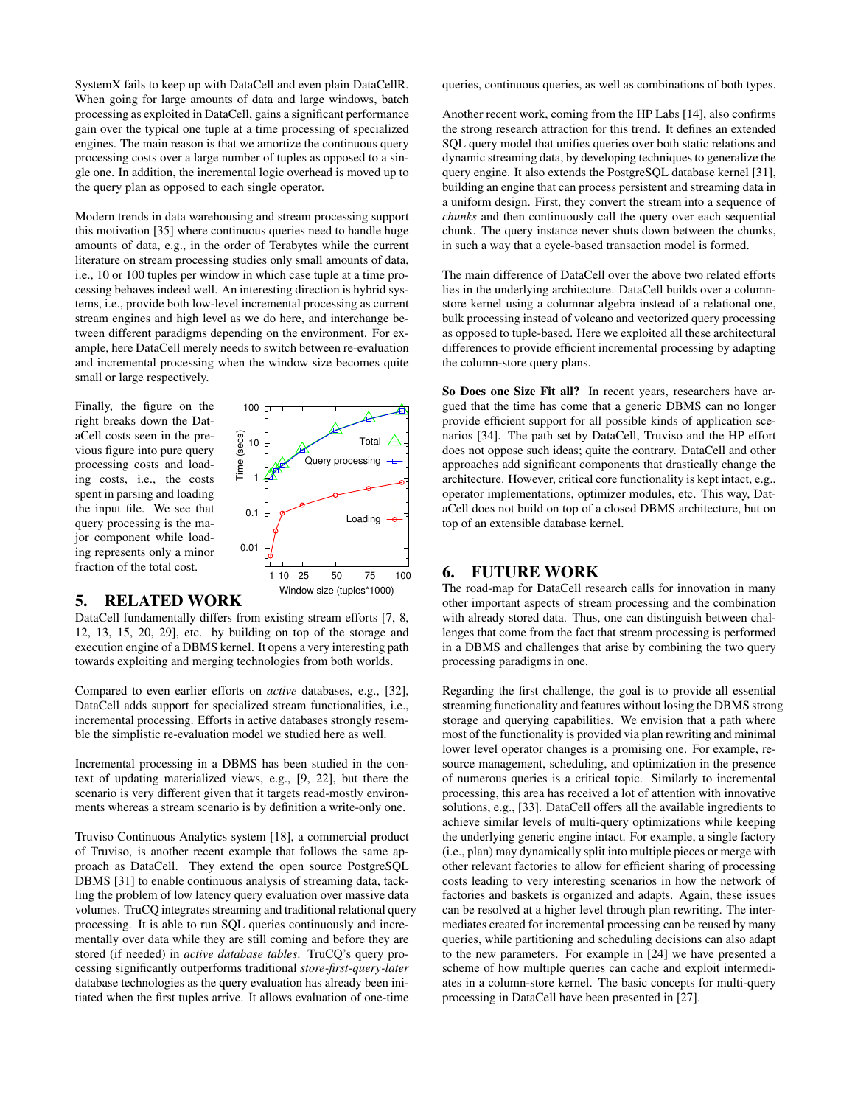SystemX fails to keep up with DataCell and even plain DataCellR. When going for large amounts of data and large windows, batch processing as exploited in DataCell, gains a significant performance gain over the typical one tuple at a time processing of specialized engines. The main reason is that we amortize the continuous query processing costs over a large number of tuples as opposed to a single one. In addition, the incremental logic overhead is moved up to the query plan as opposed to each single operator.

Modern trends in data warehousing and stream processing support this motivation [35] where continuous queries need to handle huge amounts of data, e.g., in the order of Terabytes while the current literature on stream processing studies only small amounts of data, i.e., 10 or 100 tuples per window in which case tuple at a time processing behaves indeed well. An interesting direction is hybrid systems, i.e., provide both low-level incremental processing as current stream engines and high level as we do here, and interchange between different paradigms depending on the environment. For example, here DataCell merely needs to switch between re-evaluation and incremental processing when the window size becomes quite small or large respectively.

Finally, the figure on the right breaks down the DataCell costs seen in the previous figure into pure query processing costs and loading costs, i.e., the costs spent in parsing and loading the input file. We see that query processing is the major component while loading represents only a minor fraction of the total cost.



#### 5. RELATED WORK

DataCell fundamentally differs from existing stream efforts [7, 8, 12, 13, 15, 20, 29], etc. by building on top of the storage and execution engine of a DBMS kernel. It opens a very interesting path towards exploiting and merging technologies from both worlds.

Compared to even earlier efforts on *active* databases, e.g., [32], DataCell adds support for specialized stream functionalities, i.e., incremental processing. Efforts in active databases strongly resemble the simplistic re-evaluation model we studied here as well.

Incremental processing in a DBMS has been studied in the context of updating materialized views, e.g., [9, 22], but there the scenario is very different given that it targets read-mostly environments whereas a stream scenario is by definition a write-only one.

Truviso Continuous Analytics system [18], a commercial product of Truviso, is another recent example that follows the same approach as DataCell. They extend the open source PostgreSQL DBMS [31] to enable continuous analysis of streaming data, tackling the problem of low latency query evaluation over massive data volumes. TruCQ integrates streaming and traditional relational query processing. It is able to run SQL queries continuously and incrementally over data while they are still coming and before they are stored (if needed) in *active database tables*. TruCQ's query processing significantly outperforms traditional *store-first-query-later* database technologies as the query evaluation has already been initiated when the first tuples arrive. It allows evaluation of one-time

queries, continuous queries, as well as combinations of both types.

Another recent work, coming from the HP Labs [14], also confirms the strong research attraction for this trend. It defines an extended SQL query model that unifies queries over both static relations and dynamic streaming data, by developing techniques to generalize the query engine. It also extends the PostgreSQL database kernel [31], building an engine that can process persistent and streaming data in a uniform design. First, they convert the stream into a sequence of *chunks* and then continuously call the query over each sequential chunk. The query instance never shuts down between the chunks, in such a way that a cycle-based transaction model is formed.

The main difference of DataCell over the above two related efforts lies in the underlying architecture. DataCell builds over a columnstore kernel using a columnar algebra instead of a relational one, bulk processing instead of volcano and vectorized query processing as opposed to tuple-based. Here we exploited all these architectural differences to provide efficient incremental processing by adapting the column-store query plans.

So Does one Size Fit all? In recent years, researchers have argued that the time has come that a generic DBMS can no longer provide efficient support for all possible kinds of application scenarios [34]. The path set by DataCell, Truviso and the HP effort does not oppose such ideas; quite the contrary. DataCell and other approaches add significant components that drastically change the architecture. However, critical core functionality is kept intact, e.g., operator implementations, optimizer modules, etc. This way, DataCell does not build on top of a closed DBMS architecture, but on top of an extensible database kernel.

### 6. FUTURE WORK

The road-map for DataCell research calls for innovation in many other important aspects of stream processing and the combination with already stored data. Thus, one can distinguish between challenges that come from the fact that stream processing is performed in a DBMS and challenges that arise by combining the two query processing paradigms in one.

Regarding the first challenge, the goal is to provide all essential streaming functionality and features without losing the DBMS strong storage and querying capabilities. We envision that a path where most of the functionality is provided via plan rewriting and minimal lower level operator changes is a promising one. For example, resource management, scheduling, and optimization in the presence of numerous queries is a critical topic. Similarly to incremental processing, this area has received a lot of attention with innovative solutions, e.g., [33]. DataCell offers all the available ingredients to achieve similar levels of multi-query optimizations while keeping the underlying generic engine intact. For example, a single factory (i.e., plan) may dynamically split into multiple pieces or merge with other relevant factories to allow for efficient sharing of processing costs leading to very interesting scenarios in how the network of factories and baskets is organized and adapts. Again, these issues can be resolved at a higher level through plan rewriting. The intermediates created for incremental processing can be reused by many queries, while partitioning and scheduling decisions can also adapt to the new parameters. For example in [24] we have presented a scheme of how multiple queries can cache and exploit intermediates in a column-store kernel. The basic concepts for multi-query processing in DataCell have been presented in [27].